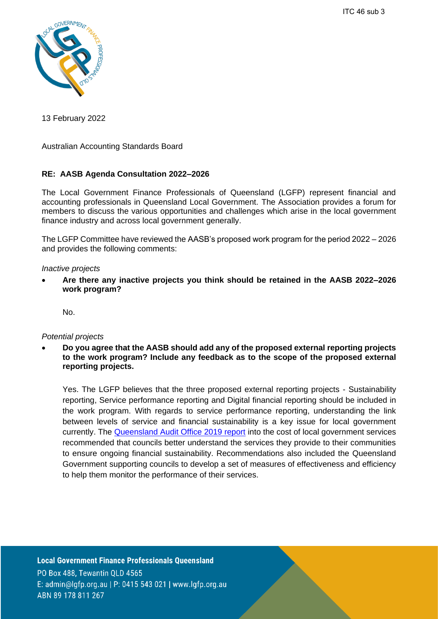ITC 46 sub 3



13 February 2022

Australian Accounting Standards Board

# **RE: AASB Agenda Consultation 2022–2026**

The Local Government Finance Professionals of Queensland (LGFP) represent financial and accounting professionals in Queensland Local Government. The Association provides a forum for members to discuss the various opportunities and challenges which arise in the local government finance industry and across local government generally.

The LGFP Committee have reviewed the AASB's proposed work program for the period 2022 – 2026 and provides the following comments:

### *Inactive projects*

• **Are there any inactive projects you think should be retained in the AASB 2022–2026 work program?**

No.

#### *Potential projects*

• **Do you agree that the AASB should add any of the proposed external reporting projects to the work program? Include any feedback as to the scope of the proposed external reporting projects.**

Yes. The LGFP believes that the three proposed external reporting projects - Sustainability reporting, Service performance reporting and Digital financial reporting should be included in the work program. With regards to service performance reporting, understanding the link between levels of service and financial sustainability is a key issue for local government currently. The [Queensland Audit Office 2019 report](https://www.qao.qld.gov.au/reports-resources/reports-parliament/managing-sustainability-local-government-services) into the cost of local government services recommended that councils better understand the services they provide to their communities to ensure ongoing financial sustainability. Recommendations also included the Queensland Government supporting councils to develop a set of measures of effectiveness and efficiency to help them monitor the performance of their services.

**Local Government Finance Professionals Queensland** PO Box 488, Tewantin QLD 4565 E: admin@lqfp.org.au | P: 0415 543 021 | www.lqfp.org.au ABN 89 178 811 267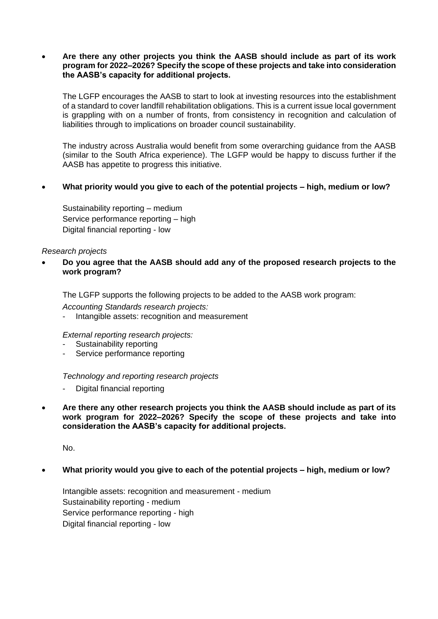### • **Are there any other projects you think the AASB should include as part of its work program for 2022–2026? Specify the scope of these projects and take into consideration the AASB's capacity for additional projects.**

The LGFP encourages the AASB to start to look at investing resources into the establishment of a standard to cover landfill rehabilitation obligations. This is a current issue local government is grappling with on a number of fronts, from consistency in recognition and calculation of liabilities through to implications on broader council sustainability.

The industry across Australia would benefit from some overarching guidance from the AASB (similar to the South Africa experience). The LGFP would be happy to discuss further if the AASB has appetite to progress this initiative.

# • **What priority would you give to each of the potential projects – high, medium or low?**

Sustainability reporting – medium Service performance reporting – high Digital financial reporting - low

### *Research projects*

# • **Do you agree that the AASB should add any of the proposed research projects to the work program?**

The LGFP supports the following projects to be added to the AASB work program:

*Accounting Standards research projects:*

Intangible assets: recognition and measurement

*External reporting research projects:*

- Sustainability reporting
- Service performance reporting

# *Technology and reporting research projects*

- Digital financial reporting
- **Are there any other research projects you think the AASB should include as part of its work program for 2022–2026? Specify the scope of these projects and take into consideration the AASB's capacity for additional projects.**

No.

# • **What priority would you give to each of the potential projects – high, medium or low?**

Intangible assets: recognition and measurement - medium Sustainability reporting - medium Service performance reporting - high Digital financial reporting - low